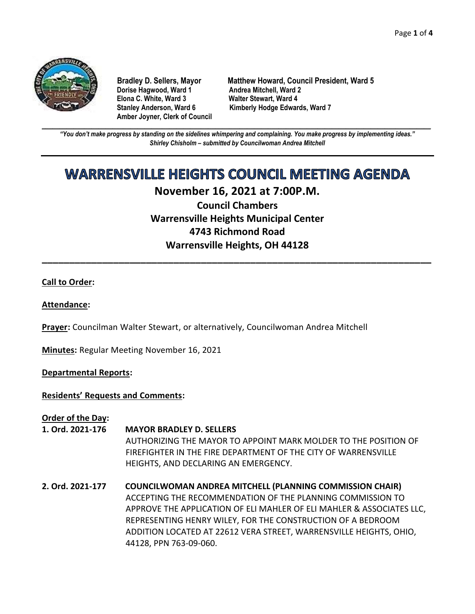

**Dorise Hagwood, Ward 1 Elona C. White, Ward 3 Walter Stewart, Ward 4 Amber Joyner, Clerk of Council**

**Bradley D. Sellers, Mayor Matthew Howard, Council President, Ward 5** Stanley Anderson, Ward 6 Kimberly Hodge Edwards, Ward 7

**\_\_\_\_\_\_\_\_\_\_\_\_\_\_\_\_\_\_\_\_\_\_\_\_\_\_\_\_\_\_\_\_\_\_\_\_\_\_\_\_\_\_\_\_\_\_\_\_\_\_\_\_\_\_\_\_\_\_\_\_\_\_\_\_\_\_\_\_\_\_\_\_\_\_\_\_\_\_\_\_\_\_\_\_\_\_\_\_\_\_\_\_\_\_\_\_\_\_\_\_\_\_\_\_\_\_\_\_\_\_** *"You don't make progress by standing on the sidelines whimpering and complaining. You make progress by implementing ideas." Shirley Chisholm – submitted by Councilwoman Andrea Mitchell*

# **WARRENSVILLE HEIGHTS COUNCIL MEETING AGENDA**

# **November 16, 2021 at 7:00P.M.**

**Council Chambers Warrensville Heights Municipal Center 4743 Richmond Road Warrensville Heights, OH 44128**

**\_\_\_\_\_\_\_\_\_\_\_\_\_\_\_\_\_\_\_\_\_\_\_\_\_\_\_\_\_\_\_\_\_\_\_\_\_\_\_\_\_\_\_\_\_\_\_\_\_\_\_\_\_\_\_\_\_\_\_\_\_\_\_\_\_\_\_\_\_\_\_**

# **Call to Order:**

# **Attendance:**

**Prayer:** Councilman Walter Stewart, or alternatively, Councilwoman Andrea Mitchell

**Minutes:** Regular Meeting November 16, 2021

# **Departmental Reports:**

# **Residents' Requests and Comments:**

**Order of the Day:**

- **1. Ord. 2021-176 MAYOR BRADLEY D. SELLERS** AUTHORIZING THE MAYOR TO APPOINT MARK MOLDER TO THE POSITION OF FIREFIGHTER IN THE FIRE DEPARTMENT OF THE CITY OF WARRENSVILLE HEIGHTS, AND DECLARING AN EMERGENCY.
- **2. Ord. 2021-177 COUNCILWOMAN ANDREA MITCHELL (PLANNING COMMISSION CHAIR)** ACCEPTING THE RECOMMENDATION OF THE PLANNING COMMISSION TO APPROVE THE APPLICATION OF ELI MAHLER OF ELI MAHLER & ASSOCIATES LLC, REPRESENTING HENRY WILEY, FOR THE CONSTRUCTION OF A BEDROOM ADDITION LOCATED AT 22612 VERA STREET, WARRENSVILLE HEIGHTS, OHIO, 44128, PPN 763-09-060.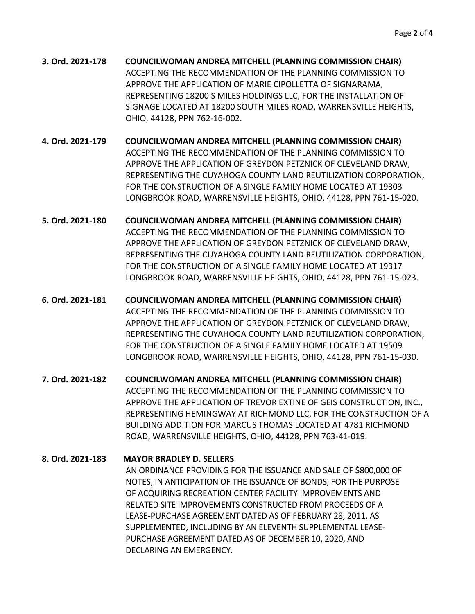- **3. Ord. 2021-178 COUNCILWOMAN ANDREA MITCHELL (PLANNING COMMISSION CHAIR)** ACCEPTING THE RECOMMENDATION OF THE PLANNING COMMISSION TO APPROVE THE APPLICATION OF MARIE CIPOLLETTA OF SIGNARAMA, REPRESENTING 18200 S MILES HOLDINGS LLC, FOR THE INSTALLATION OF SIGNAGE LOCATED AT 18200 SOUTH MILES ROAD, WARRENSVILLE HEIGHTS, OHIO, 44128, PPN 762-16-002.
- **4. Ord. 2021-179 COUNCILWOMAN ANDREA MITCHELL (PLANNING COMMISSION CHAIR)** ACCEPTING THE RECOMMENDATION OF THE PLANNING COMMISSION TO APPROVE THE APPLICATION OF GREYDON PETZNICK OF CLEVELAND DRAW, REPRESENTING THE CUYAHOGA COUNTY LAND REUTILIZATION CORPORATION, FOR THE CONSTRUCTION OF A SINGLE FAMILY HOME LOCATED AT 19303 LONGBROOK ROAD, WARRENSVILLE HEIGHTS, OHIO, 44128, PPN 761-15-020.
- **5. Ord. 2021-180 COUNCILWOMAN ANDREA MITCHELL (PLANNING COMMISSION CHAIR)** ACCEPTING THE RECOMMENDATION OF THE PLANNING COMMISSION TO APPROVE THE APPLICATION OF GREYDON PETZNICK OF CLEVELAND DRAW, REPRESENTING THE CUYAHOGA COUNTY LAND REUTILIZATION CORPORATION, FOR THE CONSTRUCTION OF A SINGLE FAMILY HOME LOCATED AT 19317 LONGBROOK ROAD, WARRENSVILLE HEIGHTS, OHIO, 44128, PPN 761-15-023.
- **6. Ord. 2021-181 COUNCILWOMAN ANDREA MITCHELL (PLANNING COMMISSION CHAIR)** ACCEPTING THE RECOMMENDATION OF THE PLANNING COMMISSION TO APPROVE THE APPLICATION OF GREYDON PETZNICK OF CLEVELAND DRAW, REPRESENTING THE CUYAHOGA COUNTY LAND REUTILIZATION CORPORATION, FOR THE CONSTRUCTION OF A SINGLE FAMILY HOME LOCATED AT 19509 LONGBROOK ROAD, WARRENSVILLE HEIGHTS, OHIO, 44128, PPN 761-15-030.
- **7. Ord. 2021-182 COUNCILWOMAN ANDREA MITCHELL (PLANNING COMMISSION CHAIR)** ACCEPTING THE RECOMMENDATION OF THE PLANNING COMMISSION TO APPROVE THE APPLICATION OF TREVOR EXTINE OF GEIS CONSTRUCTION, INC., REPRESENTING HEMINGWAY AT RICHMOND LLC, FOR THE CONSTRUCTION OF A BUILDING ADDITION FOR MARCUS THOMAS LOCATED AT 4781 RICHMOND ROAD, WARRENSVILLE HEIGHTS, OHIO, 44128, PPN 763-41-019.
- **8. Ord. 2021-183 MAYOR BRADLEY D. SELLERS** AN ORDINANCE PROVIDING FOR THE ISSUANCE AND SALE OF \$800,000 OF NOTES, IN ANTICIPATION OF THE ISSUANCE OF BONDS, FOR THE PURPOSE OF ACQUIRING RECREATION CENTER FACILITY IMPROVEMENTS AND RELATED SITE IMPROVEMENTS CONSTRUCTED FROM PROCEEDS OF A LEASE-PURCHASE AGREEMENT DATED AS OF FEBRUARY 28, 2011, AS SUPPLEMENTED, INCLUDING BY AN ELEVENTH SUPPLEMENTAL LEASE-PURCHASE AGREEMENT DATED AS OF DECEMBER 10, 2020, AND DECLARING AN EMERGENCY.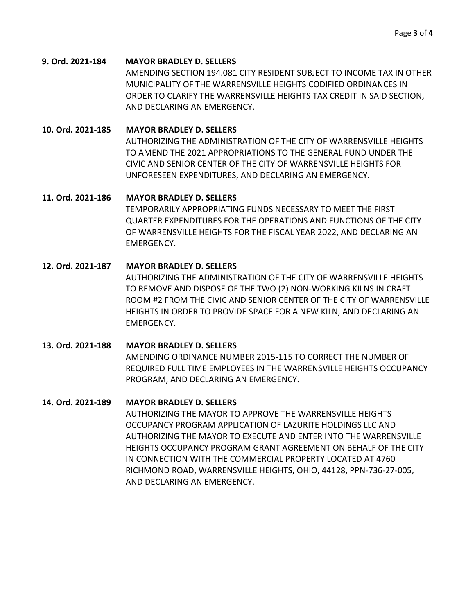#### **9. Ord. 2021-184 MAYOR BRADLEY D. SELLERS**

AMENDING SECTION 194.081 CITY RESIDENT SUBJECT TO INCOME TAX IN OTHER MUNICIPALITY OF THE WARRENSVILLE HEIGHTS CODIFIED ORDINANCES IN ORDER TO CLARIFY THE WARRENSVILLE HEIGHTS TAX CREDIT IN SAID SECTION, AND DECLARING AN EMERGENCY.

## **10. Ord. 2021-185 MAYOR BRADLEY D. SELLERS**

AUTHORIZING THE ADMINISTRATION OF THE CITY OF WARRENSVILLE HEIGHTS TO AMEND THE 2021 APPROPRIATIONS TO THE GENERAL FUND UNDER THE CIVIC AND SENIOR CENTER OF THE CITY OF WARRENSVILLE HEIGHTS FOR UNFORESEEN EXPENDITURES, AND DECLARING AN EMERGENCY.

#### **11. Ord. 2021-186 MAYOR BRADLEY D. SELLERS**

TEMPORARILY APPROPRIATING FUNDS NECESSARY TO MEET THE FIRST QUARTER EXPENDITURES FOR THE OPERATIONS AND FUNCTIONS OF THE CITY OF WARRENSVILLE HEIGHTS FOR THE FISCAL YEAR 2022, AND DECLARING AN EMERGENCY.

# **12. Ord. 2021-187 MAYOR BRADLEY D. SELLERS**

AUTHORIZING THE ADMINISTRATION OF THE CITY OF WARRENSVILLE HEIGHTS TO REMOVE AND DISPOSE OF THE TWO (2) NON-WORKING KILNS IN CRAFT ROOM #2 FROM THE CIVIC AND SENIOR CENTER OF THE CITY OF WARRENSVILLE HEIGHTS IN ORDER TO PROVIDE SPACE FOR A NEW KILN, AND DECLARING AN EMERGENCY.

# **13. Ord. 2021-188 MAYOR BRADLEY D. SELLERS**

AMENDING ORDINANCE NUMBER 2015-115 TO CORRECT THE NUMBER OF REQUIRED FULL TIME EMPLOYEES IN THE WARRENSVILLE HEIGHTS OCCUPANCY PROGRAM, AND DECLARING AN EMERGENCY.

#### **14. Ord. 2021-189 MAYOR BRADLEY D. SELLERS**

AUTHORIZING THE MAYOR TO APPROVE THE WARRENSVILLE HEIGHTS OCCUPANCY PROGRAM APPLICATION OF LAZURITE HOLDINGS LLC AND AUTHORIZING THE MAYOR TO EXECUTE AND ENTER INTO THE WARRENSVILLE HEIGHTS OCCUPANCY PROGRAM GRANT AGREEMENT ON BEHALF OF THE CITY IN CONNECTION WITH THE COMMERCIAL PROPERTY LOCATED AT 4760 RICHMOND ROAD, WARRENSVILLE HEIGHTS, OHIO, 44128, PPN-736-27-005, AND DECLARING AN EMERGENCY.